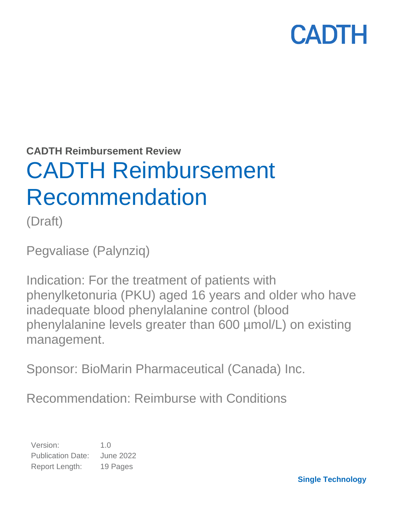**CADTH Reimbursement Review**

# CADTH Reimbursement Recommendation

(Draft)

Pegvaliase (Palynziq)

Indication: For the treatment of patients with phenylketonuria (PKU) aged 16 years and older who have inadequate blood phenylalanine control (blood phenylalanine levels greater than 600 µmol/L) on existing management.

Sponsor: BioMarin Pharmaceutical (Canada) Inc.

Recommendation: Reimburse with Conditions

Version: 1.0 Publication Date: June 2022 Report Length: 19 Pages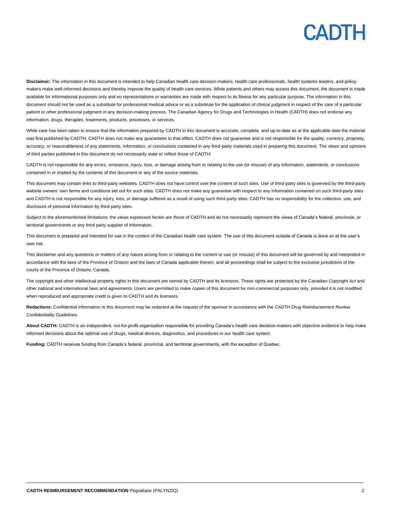**Disclaimer:** The information in this document is intended to help Canadian health care decision-makers, health care professionals, health systems leaders, and policymakers make well-informed decisions and thereby improve the quality of health care services. While patients and others may access this document, the document is made available for informational purposes only and no representations or warranties are made with respect to its fitness for any particular purpose. The information in this document should not be used as a substitute for professional medical advice or as a substitute for the application of clinical judgment in respect of the care of a particular patient or other professional judgment in any decision-making process. The Canadian Agency for Drugs and Technologies in Health (CADTH) does not endorse any information, drugs, therapies, treatments, products, processes, or services.

While care has been taken to ensure that the information prepared by CADTH in this document is accurate, complete, and up-to-date as at the applicable date the material was first published by CADTH, CADTH does not make any guarantees to that effect. CADTH does not guarantee and is not responsible for the quality, currency, propriety, accuracy, or reasonableness of any statements, information, or conclusions contained in any third-party materials used in preparing this document. The views and opinions of third parties published in this document do not necessarily state or reflect those of CADTH.

CADTH is not responsible for any errors, omissions, injury, loss, or damage arising from or relating to the use (or misuse) of any information, statements, or conclusions contained in or implied by the contents of this document or any of the source materials.

This document may contain links to third-party websites. CADTH does not have control over the content of such sites. Use of third-party sites is governed by the third-party website owners' own terms and conditions set out for such sites. CADTH does not make any guarantee with respect to any information contained on such third-party sites and CADTH is not responsible for any injury, loss, or damage suffered as a result of using such third-party sites. CADTH has no responsibility for the collection, use, and disclosure of personal information by third-party sites.

Subject to the aforementioned limitations, the views expressed herein are those of CADTH and do not necessarily represent the views of Canada's federal, provincial, or territorial governments or any third party supplier of information.

This document is prepared and intended for use in the context of the Canadian health care system. The use of this document outside of Canada is done so at the user's own risk.

This disclaimer and any questions or matters of any nature arising from or relating to the content or use (or misuse) of this document will be governed by and interpreted in accordance with the laws of the Province of Ontario and the laws of Canada applicable therein, and all proceedings shall be subject to the exclusive jurisdiction of the courts of the Province of Ontario, Canada.

The copyright and other intellectual property rights in this document are owned by CADTH and its licensors. These rights are protected by the Canadian *Copyright Act* and other national and international laws and agreements. Users are permitted to make copies of this document for non-commercial purposes only, provided it is not modified when reproduced and appropriate credit is given to CADTH and its licensors.

**Redactions:** Confidential information in this document may be redacted at the request of the sponsor in accordance with the *CADTH Drug Reimbursement Review Confidentiality Guidelines.*

**About CADTH:** CADTH is an independent, not-for-profit organization responsible for providing Canada's health care decision-makers with objective evidence to help make informed decisions about the optimal use of drugs, medical devices, diagnostics, and procedures in our health care system.

**Funding:** CADTH receives funding from Canada's federal, provincial, and territorial governments, with the exception of Quebec.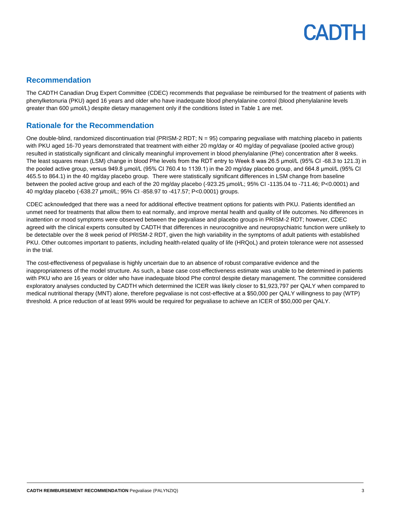## **Recommendation**

The CADTH Canadian Drug Expert Committee (CDEC) recommends that pegvaliase be reimbursed for the treatment of patients with phenylketonuria (PKU) aged 16 years and older who have inadequate blood phenylalanine control (blood phenylalanine levels greater than 600 µmol/L) despite dietary management only if the conditions listed in [Table 1](#page-3-0) are met.

## **Rationale for the Recommendation**

One double-blind, randomized discontinuation trial (PRISM-2 RDT; N = 95) comparing pegvaliase with matching placebo in patients with PKU aged 16-70 years demonstrated that treatment with either 20 mg/day or 40 mg/day of pegvaliase (pooled active group) resulted in statistically significant and clinically meaningful improvement in blood phenylalanine (Phe) concentration after 8 weeks. The least squares mean (LSM) change in blood Phe levels from the RDT entry to Week 8 was 26.5 μmol/L (95% CI -68.3 to 121.3) in the pooled active group, versus 949.8 μmol/L (95% CI 760.4 to 1139.1) in the 20 mg/day placebo group, and 664.8 μmol/L (95% CI 465.5 to 864.1) in the 40 mg/day placebo group. There were statistically significant differences in LSM change from baseline between the pooled active group and each of the 20 mg/day placebo (-923.25 µmol/L; 95% CI -1135.04 to -711.46; P<0.0001) and 40 mg/day placebo (-638.27 µmol/L; 95% CI -858.97 to -417.57; P<0.0001) groups.

CDEC acknowledged that there was a need for additional effective treatment options for patients with PKU. Patients identified an unmet need for treatments that allow them to eat normally, and improve mental health and quality of life outcomes. No differences in inattention or mood symptoms were observed between the pegvaliase and placebo groups in PRISM-2 RDT; however, CDEC agreed with the clinical experts consulted by CADTH that differences in neurocognitive and neuropsychiatric function were unlikely to be detectable over the 8 week period of PRISM-2 RDT, given the high variability in the symptoms of adult patients with established PKU. Other outcomes important to patients, including health-related quality of life (HRQoL) and protein tolerance were not assessed in the trial.

The cost-effectiveness of pegvaliase is highly uncertain due to an absence of robust comparative evidence and the inappropriateness of the model structure. As such, a base case cost-effectiveness estimate was unable to be determined in patients with PKU who are 16 years or older who have inadequate blood Phe control despite dietary management. The committee considered exploratory analyses conducted by CADTH which determined the ICER was likely closer to \$1,923,797 per QALY when compared to medical nutritional therapy (MNT) alone, therefore pegvaliase is not cost-effective at a \$50,000 per QALY willingness to pay (WTP) threshold. A price reduction of at least 99% would be required for pegvaliase to achieve an ICER of \$50,000 per QALY.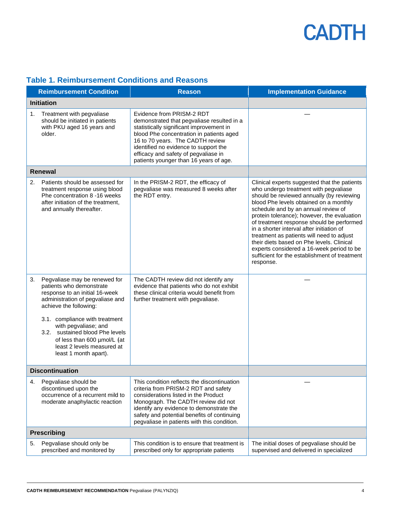|                        | <b>Reimbursement Condition</b>                                                                                                                                                                                                                                                                                                               | <b>Reason</b>                                                                                                                                                                                                                                                                                                                  | <b>Implementation Guidance</b>                                                                                                                                                                                                                                                                                                                                                                                                                                                                                                                                    |
|------------------------|----------------------------------------------------------------------------------------------------------------------------------------------------------------------------------------------------------------------------------------------------------------------------------------------------------------------------------------------|--------------------------------------------------------------------------------------------------------------------------------------------------------------------------------------------------------------------------------------------------------------------------------------------------------------------------------|-------------------------------------------------------------------------------------------------------------------------------------------------------------------------------------------------------------------------------------------------------------------------------------------------------------------------------------------------------------------------------------------------------------------------------------------------------------------------------------------------------------------------------------------------------------------|
| <b>Initiation</b>      |                                                                                                                                                                                                                                                                                                                                              |                                                                                                                                                                                                                                                                                                                                |                                                                                                                                                                                                                                                                                                                                                                                                                                                                                                                                                                   |
| 1.                     | Treatment with pegvaliase<br>should be initiated in patients<br>with PKU aged 16 years and<br>older.                                                                                                                                                                                                                                         | Evidence from PRISM-2 RDT<br>demonstrated that pegvaliase resulted in a<br>statistically significant improvement in<br>blood Phe concentration in patients aged<br>16 to 70 years. The CADTH review<br>identified no evidence to support the<br>efficacy and safety of pegvaliase in<br>patients younger than 16 years of age. |                                                                                                                                                                                                                                                                                                                                                                                                                                                                                                                                                                   |
|                        | <b>Renewal</b>                                                                                                                                                                                                                                                                                                                               |                                                                                                                                                                                                                                                                                                                                |                                                                                                                                                                                                                                                                                                                                                                                                                                                                                                                                                                   |
| 2.                     | Patients should be assessed for<br>treatment response using blood<br>Phe concentration 8 -16 weeks<br>after initiation of the treatment,<br>and annually thereafter.                                                                                                                                                                         | In the PRISM-2 RDT, the efficacy of<br>pegvaliase was measured 8 weeks after<br>the RDT entry.                                                                                                                                                                                                                                 | Clinical experts suggested that the patients<br>who undergo treatment with pegvaliase<br>should be reviewed annually (by reviewing<br>blood Phe levels obtained on a monthly<br>schedule and by an annual review of<br>protein tolerance); however, the evaluation<br>of treatment response should be performed<br>in a shorter interval after initiation of<br>treatment as patients will need to adjust<br>their diets based on Phe levels. Clinical<br>experts considered a 16-week period to be<br>sufficient for the establishment of treatment<br>response. |
| 3.                     | Pegvaliase may be renewed for<br>patients who demonstrate<br>response to an initial 16-week<br>administration of pegvaliase and<br>achieve the following:<br>3.1. compliance with treatment<br>with pegvaliase; and<br>3.2. sustained blood Phe levels<br>of less than 600 µmol/L (at<br>least 2 levels measured at<br>least 1 month apart). | The CADTH review did not identify any<br>evidence that patients who do not exhibit<br>these clinical criteria would benefit from<br>further treatment with pegvaliase.                                                                                                                                                         |                                                                                                                                                                                                                                                                                                                                                                                                                                                                                                                                                                   |
| <b>Discontinuation</b> |                                                                                                                                                                                                                                                                                                                                              |                                                                                                                                                                                                                                                                                                                                |                                                                                                                                                                                                                                                                                                                                                                                                                                                                                                                                                                   |
| 4.                     | Pegvaliase should be<br>discontinued upon the<br>occurrence of a recurrent mild to<br>moderate anaphylactic reaction                                                                                                                                                                                                                         | This condition reflects the discontinuation<br>criteria from PRISM-2 RDT and safety<br>considerations listed in the Product<br>Monograph. The CADTH review did not<br>identify any evidence to demonstrate the<br>safety and potential benefits of continuing<br>pegvaliase in patients with this condition.                   |                                                                                                                                                                                                                                                                                                                                                                                                                                                                                                                                                                   |
|                        | <b>Prescribing</b>                                                                                                                                                                                                                                                                                                                           |                                                                                                                                                                                                                                                                                                                                |                                                                                                                                                                                                                                                                                                                                                                                                                                                                                                                                                                   |
| 5.                     | Pegvaliase should only be<br>prescribed and monitored by                                                                                                                                                                                                                                                                                     | This condition is to ensure that treatment is<br>prescribed only for appropriate patients                                                                                                                                                                                                                                      | The initial doses of pegvaliase should be<br>supervised and delivered in specialized                                                                                                                                                                                                                                                                                                                                                                                                                                                                              |

## <span id="page-3-0"></span>**Table 1. Reimbursement Conditions and Reasons**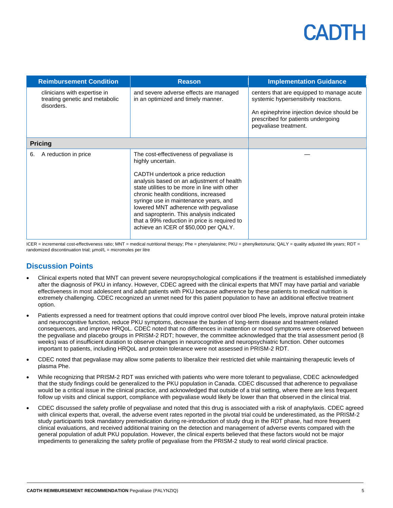## CADIH

|                | <b>Reimbursement Condition</b>                                               | <b>Reason</b>                                                                                                                                                                                                                                                                                                                                                                                                                                                  | <b>Implementation Guidance</b>                                                                                                                                                                |
|----------------|------------------------------------------------------------------------------|----------------------------------------------------------------------------------------------------------------------------------------------------------------------------------------------------------------------------------------------------------------------------------------------------------------------------------------------------------------------------------------------------------------------------------------------------------------|-----------------------------------------------------------------------------------------------------------------------------------------------------------------------------------------------|
|                | clinicians with expertise in<br>treating genetic and metabolic<br>disorders. | and severe adverse effects are managed<br>in an optimized and timely manner.                                                                                                                                                                                                                                                                                                                                                                                   | centers that are equipped to manage acute<br>systemic hypersensitivity reactions.<br>An epinephrine injection device should be<br>prescribed for patients undergoing<br>pegvaliase treatment. |
| <b>Pricing</b> |                                                                              |                                                                                                                                                                                                                                                                                                                                                                                                                                                                |                                                                                                                                                                                               |
| 6.             | A reduction in price                                                         | The cost-effectiveness of pegvaliase is<br>highly uncertain.<br>CADTH undertook a price reduction<br>analysis based on an adjustment of health<br>state utilities to be more in line with other<br>chronic health conditions, increased<br>syringe use in maintenance years, and<br>lowered MNT adherence with pegvaliase<br>and sapropterin. This analysis indicated<br>that a 99% reduction in price is required to<br>achieve an ICER of \$50,000 per QALY. |                                                                                                                                                                                               |

ICER = incremental cost-effectiveness ratio; MNT = medical nutritional therapy; Phe = phenylalanine; PKU = phenylketonuria; QALY = quality adjusted life years; RDT = randomized discontinuation trial; µmol/L = micromoles per litre

## **Discussion Points**

- Clinical experts noted that MNT can prevent severe neuropsychological complications if the treatment is established immediately after the diagnosis of PKU in infancy. However, CDEC agreed with the clinical experts that MNT may have partial and variable effectiveness in most adolescent and adult patients with PKU because adherence by these patients to medical nutrition is extremely challenging. CDEC recognized an unmet need for this patient population to have an additional effective treatment option.
- Patients expressed a need for treatment options that could improve control over blood Phe levels, improve natural protein intake and neurocognitive function, reduce PKU symptoms, decrease the burden of long-term disease and treatment-related consequences, and improve HRQoL. CDEC noted that no differences in inattention or mood symptoms were observed between the pegvaliase and placebo groups in PRISM-2 RDT; however, the committee acknowledged that the trial assessment period (8 weeks) was of insufficient duration to observe changes in neurocognitive and neuropsychiatric function. Other outcomes important to patients, including HRQoL and protein tolerance were not assessed in PRISM-2 RDT.
- CDEC noted that pegvaliase may allow some patients to liberalize their restricted diet while maintaining therapeutic levels of plasma Phe.
- While recognizing that PRISM-2 RDT was enriched with patients who were more tolerant to pegvaliase, CDEC acknowledged that the study findings could be generalized to the PKU population in Canada. CDEC discussed that adherence to pegvaliase would be a critical issue in the clinical practice, and acknowledged that outside of a trial setting, where there are less frequent follow up visits and clinical support, compliance with pegvaliase would likely be lower than that observed in the clinical trial.
- CDEC discussed the safety profile of pegvaliase and noted that this drug is associated with a risk of anaphylaxis. CDEC agreed with clinical experts that, overall, the adverse event rates reported in the pivotal trial could be underestimated, as the PRISM-2 study participants took mandatory premedication during re-introduction of study drug in the RDT phase, had more frequent clinical evaluations, and received additional training on the detection and management of adverse events compared with the general population of adult PKU population. However, the clinical experts believed that these factors would not be major impediments to generalizing the safety profile of pegvaliase from the PRISM-2 study to real world clinical practice.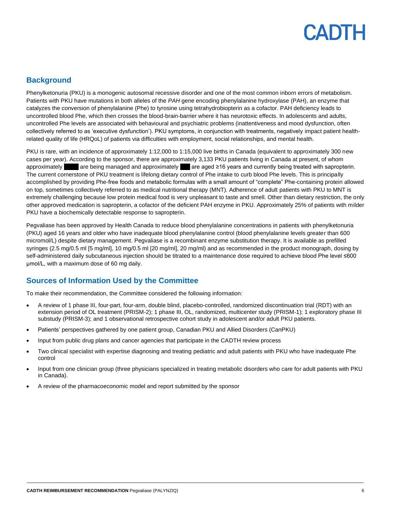## **Background**

Phenylketonuria (PKU) is a monogenic autosomal recessive disorder and one of the most common inborn errors of metabolism. Patients with PKU have mutations in both alleles of the *PAH* gene encoding phenylalanine hydroxylase (PAH), an enzyme that catalyzes the conversion of phenylalanine (Phe) to tyrosine using tetrahydrobiopterin as a cofactor. PAH deficiency leads to uncontrolled blood Phe, which then crosses the blood-brain-barrier where it has neurotoxic effects. In adolescents and adults, uncontrolled Phe levels are associated with behavioural and psychiatric problems (inattentiveness and mood dysfunction, often collectively referred to as 'executive dysfunction'). PKU symptoms, in conjunction with treatments, negatively impact patient healthrelated quality of life (HRQoL) of patients via difficulties with employment, social relationships, and mental health.

PKU is rare, with an incidence of approximately 1:12,000 to 1:15,000 live births in Canada (equivalent to approximately 300 new cases per year). According to the sponsor, there are approximately 3,133 PKU patients living in Canada at present, of whom approximately are being managed and approximately are aged ≥16 years and currently being treated with sapropterin. The current cornerstone of PKU treatment is lifelong dietary control of Phe intake to curb blood Phe levels. This is principally accomplished by providing Phe-free foods and metabolic formulas with a small amount of "complete" Phe-containing protein allowed on top, sometimes collectively referred to as medical nutritional therapy (MNT). Adherence of adult patients with PKU to MNT is extremely challenging because low protein medical food is very unpleasant to taste and smell. Other than dietary restriction, the only other approved medication is sapropterin, a cofactor of the deficient PAH enzyme in PKU. Approximately 25% of patients with milder PKU have a biochemically detectable response to sapropterin.

Pegvaliase has been approved by Health Canada to reduce blood phenylalanine concentrations in patients with phenylketonuria (PKU) aged 16 years and older who have inadequate blood phenylalanine control (blood phenylalanine levels greater than 600 micromol/L) despite dietary management. Pegvaliase is a recombinant enzyme substitution therapy. It is available as prefilled syringes (2.5 mg/0.5 ml [5 mg/ml], 10 mg/0.5 ml [20 mg/ml], 20 mg/ml) and as recommended in the product monograph, dosing by self-administered daily subcutaneous injection should be titrated to a maintenance dose required to achieve blood Phe level ≤600 μmol/L, with a maximum dose of 60 mg daily.

## **Sources of Information Used by the Committee**

To make their recommendation, the Committee considered the following information:

- A review of 1 phase III, four-part, four-arm, double blind, placebo-controlled, randomized discontinuation trial (RDT) with an extension period of OL treatment (PRISM-2); 1 phase III, OL, randomized, multicenter study (PRISM-1); 1 exploratory phase III substudy (PRISM-3); and 1 observational retrospective cohort study in adolescent and/or adult PKU patients.
- Patients' perspectives gathered by one patient group, Canadian PKU and Allied Disorders (CanPKU)
- Input from public drug plans and cancer agencies that participate in the CADTH review process
- Two clinical specialist with expertise diagnosing and treating pediatric and adult patients with PKU who have inadequate Phe control
- Input from one clinician group (three physicians specialized in treating metabolic disorders who care for adult patients with PKU in Canada).
- A review of the pharmacoeconomic model and report submitted by the sponsor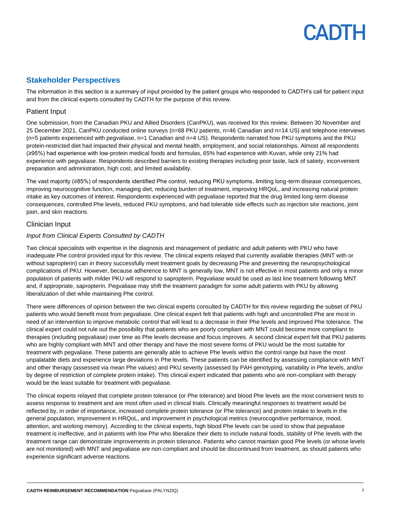### **Stakeholder Perspectives**

The information in this section is a summary of input provided by the patient groups who responded to CADTH's call for patient input and from the clinical experts consulted by CADTH for the purpose of this review.

### Patient Input

One submission, from the Canadian PKU and Allied Disorders (CanPKU), was received for this review. Between 30 November and 25 December 2021, CanPKU conducted online surveys (n=68 PKU patients, n=46 Canadian and n=14 US) and telephone interviews (n=5 patients experienced with pegvaliase, n=1 Canadian and n=4 US). Respondents narrated how PKU symptoms and the PKU protein-restricted diet had impacted their physical and mental health, employment, and social relationships. Almost all respondents (≥95%) had experience with low-protein medical foods and formulas, 65% had experience with Kuvan, while only 21% had experience with pegvaliase. Respondents described barriers to existing therapies including poor taste, lack of satiety, inconvenient preparation and administration, high cost, and limited availability.

The vast majority (≥85%) of respondents identified Phe control, reducing PKU symptoms, limiting long-term disease consequences, improving neurocognitive function, managing diet, reducing burden of treatment, improving HRQoL, and increasing natural protein intake as key outcomes of interest. Respondents experienced with pegvaliase reported that the drug limited long-term disease consequences, controlled Phe levels, reduced PKU symptoms, and had tolerable side effects such as injection site reactions, joint pain, and skin reactions.

### Clinician Input

#### *Input from Clinical Experts Consulted by CADTH*

Two clinical specialists with expertise in the diagnosis and management of pediatric and adult patients with PKU who have inadequate Phe control provided input for this review. The clinical experts relayed that currently available therapies (MNT with or without sapropterin) can in theory successfully meet treatment goals by decreasing Phe and preventing the neuropsychological complications of PKU. However, because adherence to MNT is generally low, MNT is not effective in most patients and only a minor population of patients with milder PKU will respond to sapropterin. Pegvaliase would be used as last line treatment following MNT and, if appropriate, sapropterin. Pegvaliase may shift the treatment paradigm for some adult patients with PKU by allowing liberalization of diet while maintaining Phe control.

There were differences of opinion between the two clinical experts consulted by CADTH for this review regarding the subset of PKU patients who would benefit most from pegvaliase. One clinical expert felt that patients with high and uncontrolled Phe are most in need of an intervention to improve metabolic control that will lead to a decrease in their Phe levels and improved Phe tolerance. The clinical expert could not rule out the possibility that patients who are poorly compliant with MNT could become more compliant to therapies (including pegvaliase) over time as Phe levels decrease and focus improves. A second clinical expert felt that PKU patients who are highly compliant with MNT and other therapy and have the most severe forms of PKU would be the most suitable for treatment with pegvaliase. These patients are generally able to achieve Phe levels within the control range but have the most unpalatable diets and experience large deviations in Phe levels. These patients can be identified by assessing compliance with MNT and other therapy (assessed via mean Phe values) and PKU severity (assessed by PAH genotyping, variability in Phe levels, and/or by degree of restriction of complete protein intake). This clinical expert indicated that patients who are non-compliant with therapy would be the least suitable for treatment with pegvaliase.

The clinical experts relayed that complete protein tolerance (or Phe tolerance) and blood Phe levels are the most convenient tests to assess response to treatment and are most often used in clinical trials. Clinically meaningful responses to treatment would be reflected by, in order of importance, increased complete protein tolerance (or Phe tolerance) and protein intake to levels in the general population, improvement in HRQoL, and improvement in psychological metrics (neurocognitive performance, mood, attention, and working memory). According to the clinical experts, high blood Phe levels can be used to show that pegvaliase treatment is ineffective, and in patients with low Phe who liberalize their diets to include natural foods, stability of Phe levels with the treatment range can demonstrate improvements in protein tolerance. Patients who cannot maintain good Phe levels (or whose levels are not monitored) with MNT and pegvaliase are non-compliant and should be discontinued from treatment, as should patients who experience significant adverse reactions.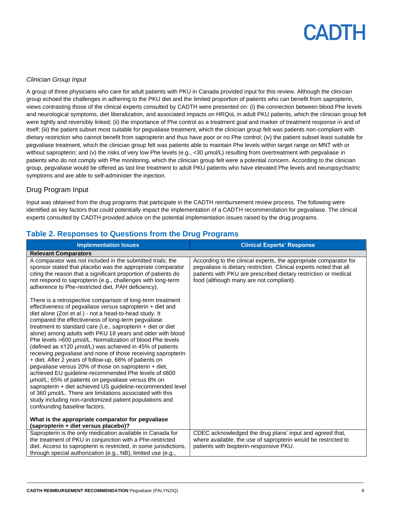### *Clinician Group Input*

A group of three physicians who care for adult patients with PKU in Canada provided input for this review. Although the clinician group echoed the challenges in adhering to the PKU diet and the limited proportion of patients who can benefit from sapropterin, views contrasting those of the clinical experts consulted by CADTH were presented on: (i) the connection between blood Phe levels and neurological symptoms, diet liberalization, and associated impacts on HRQoL in adult PKU patients, which the clinician group felt were tightly and reversibly linked; (ii) the importance of Phe control as a treatment goal and marker of treatment response in and of itself; (iii) the patient subset most suitable for pegvaliase treatment, which the clinician group felt was patients non-compliant with dietary restriction who cannot benefit from sapropterin and thus have poor or no Phe control; (iv) the patient subset least suitable for pegvaliase treatment, which the clinician group felt was patients able to maintain Phe levels within target range on MNT with or without sapropterin; and (v) the risks of very low Phe levels (e.g., <30 µmol/L) resulting from overtreatment with pegvaliase in patients who do not comply with Phe monitoring, which the clinician group felt were a potential concern. According to the clinician group, pegvaliase would be offered as last line treatment to adult PKU patients who have elevated Phe levels and neuropsychiatric symptoms and are able to self-administer the injection.

### Drug Program Input

Input was obtained from the drug programs that participate in the CADTH reimbursement review process. The following were identified as key factors that could potentially impact the implementation of a CADTH recommendation for pegvaliase. The clinical experts consulted by CADTH provided advice on the potential implementation issues raised by the drug programs.

|  | Table 2. Responses to Questions from the Drug Programs |  |  |
|--|--------------------------------------------------------|--|--|
|--|--------------------------------------------------------|--|--|

| <b>Implementation Issues</b>                                                                                                                                                                                                                                                                                                                                                                                                                                                                                                                                                                                                                                                                                                                                                                                                                                                                                                                                                                                           | <b>Clinical Experts' Response</b>                                                                                                                                                                                                                     |
|------------------------------------------------------------------------------------------------------------------------------------------------------------------------------------------------------------------------------------------------------------------------------------------------------------------------------------------------------------------------------------------------------------------------------------------------------------------------------------------------------------------------------------------------------------------------------------------------------------------------------------------------------------------------------------------------------------------------------------------------------------------------------------------------------------------------------------------------------------------------------------------------------------------------------------------------------------------------------------------------------------------------|-------------------------------------------------------------------------------------------------------------------------------------------------------------------------------------------------------------------------------------------------------|
| <b>Relevant Comparators</b>                                                                                                                                                                                                                                                                                                                                                                                                                                                                                                                                                                                                                                                                                                                                                                                                                                                                                                                                                                                            |                                                                                                                                                                                                                                                       |
| A comparator was not included in the submitted trials; the<br>sponsor stated that placebo was the appropriate comparator<br>citing the reason that a significant proportion of patients do<br>not respond to sapropterin (e.g., challenges with long-term<br>adherence to Phe-restricted diet, PAH deficiency).                                                                                                                                                                                                                                                                                                                                                                                                                                                                                                                                                                                                                                                                                                        | According to the clinical experts, the appropriate comparator for<br>pegvaliase is dietary restriction. Clinical experts noted that all<br>patients with PKU are prescribed dietary restriction or medical<br>food (although many are not compliant). |
| There is a retrospective comparison of long-term treatment<br>effectiveness of pegvaliase versus sapropterin + diet and<br>diet alone (Zori et al.) - not a head-to-head study. It<br>compared the effectiveness of long-term pegvaliase<br>treatment to standard care (I.e., sapropterin + diet or diet<br>alone) among adults with PKU 18 years and older with blood<br>Phe levels >600 µmol/L. Normalization of blood Phe levels<br>(defined as ≤120 µmol/L) was achieved in 45% of patients<br>receiving pegvaliase and none of those receiving sapropterin<br>+ diet. After 2 years of follow-up, 68% of patients on<br>pegvaliase versus 20% of those on sapropterin + diet,<br>achieved EU guideline-recommended Phe levels of ≤600<br>umol/L; 65% of patients on pegvaliase versus 8% on<br>sapropterin + diet achieved US guideline-recommended level<br>of 360 umol/L. There are limitations associated with this<br>study including non-randomized patient populations and<br>confounding baseline factors. |                                                                                                                                                                                                                                                       |
| What is the appropriate comparator for pegvaliase                                                                                                                                                                                                                                                                                                                                                                                                                                                                                                                                                                                                                                                                                                                                                                                                                                                                                                                                                                      |                                                                                                                                                                                                                                                       |
| (sapropterin + diet versus placebo)?                                                                                                                                                                                                                                                                                                                                                                                                                                                                                                                                                                                                                                                                                                                                                                                                                                                                                                                                                                                   |                                                                                                                                                                                                                                                       |
| Sapropterin is the only medication available in Canada for                                                                                                                                                                                                                                                                                                                                                                                                                                                                                                                                                                                                                                                                                                                                                                                                                                                                                                                                                             | CDEC acknowledged the drug plans' input and agreed that,                                                                                                                                                                                              |
| the treatment of PKU in conjunction with a Phe-restricted                                                                                                                                                                                                                                                                                                                                                                                                                                                                                                                                                                                                                                                                                                                                                                                                                                                                                                                                                              | where available, the use of sapropterin would be restricted to                                                                                                                                                                                        |
| diet. Access to sapropterin is restricted, in some jurisdictions,                                                                                                                                                                                                                                                                                                                                                                                                                                                                                                                                                                                                                                                                                                                                                                                                                                                                                                                                                      | patients with biopterin-responsive PKU.                                                                                                                                                                                                               |
| through special authorization (e.g., NB), limited use (e.g.,                                                                                                                                                                                                                                                                                                                                                                                                                                                                                                                                                                                                                                                                                                                                                                                                                                                                                                                                                           |                                                                                                                                                                                                                                                       |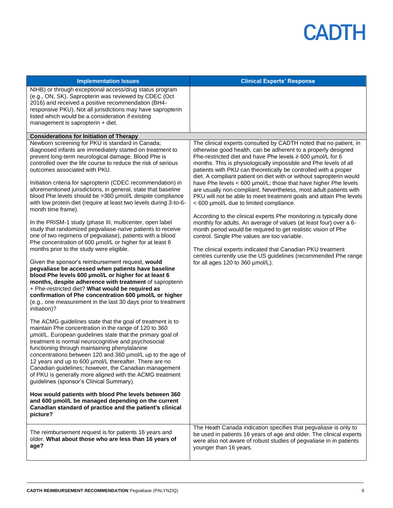| <b>Implementation Issues</b>                                                                                                                                                                                                                                                                                                                                                                                                                                                                                                                                                                                                                                                                                                                                                                                                                                                                                                                                                                                                                                                                                                                                                                                                                                                                                                                                                                                                                                                                                                                                                                                                                                                                                                                                                                                                                                                                                                             | <b>Clinical Experts' Response</b>                                                                                                                                                                                                                                                                                                                                                                                                                                                                                                                                                                                                                                                                                                                                                                                                                                                                                                                                                                                                                                                                             |
|------------------------------------------------------------------------------------------------------------------------------------------------------------------------------------------------------------------------------------------------------------------------------------------------------------------------------------------------------------------------------------------------------------------------------------------------------------------------------------------------------------------------------------------------------------------------------------------------------------------------------------------------------------------------------------------------------------------------------------------------------------------------------------------------------------------------------------------------------------------------------------------------------------------------------------------------------------------------------------------------------------------------------------------------------------------------------------------------------------------------------------------------------------------------------------------------------------------------------------------------------------------------------------------------------------------------------------------------------------------------------------------------------------------------------------------------------------------------------------------------------------------------------------------------------------------------------------------------------------------------------------------------------------------------------------------------------------------------------------------------------------------------------------------------------------------------------------------------------------------------------------------------------------------------------------------|---------------------------------------------------------------------------------------------------------------------------------------------------------------------------------------------------------------------------------------------------------------------------------------------------------------------------------------------------------------------------------------------------------------------------------------------------------------------------------------------------------------------------------------------------------------------------------------------------------------------------------------------------------------------------------------------------------------------------------------------------------------------------------------------------------------------------------------------------------------------------------------------------------------------------------------------------------------------------------------------------------------------------------------------------------------------------------------------------------------|
| NIHB) or through exceptional access/drug status program<br>(e.g., ON, SK). Sapropterin was reviewed by CDEC (Oct<br>2016) and received a positive recommendation (BH4-<br>responsive PKU). Not all jurisdictions may have sapropterin<br>listed which would be a consideration if existing<br>management is sapropterin + diet.                                                                                                                                                                                                                                                                                                                                                                                                                                                                                                                                                                                                                                                                                                                                                                                                                                                                                                                                                                                                                                                                                                                                                                                                                                                                                                                                                                                                                                                                                                                                                                                                          |                                                                                                                                                                                                                                                                                                                                                                                                                                                                                                                                                                                                                                                                                                                                                                                                                                                                                                                                                                                                                                                                                                               |
| <b>Considerations for Initiation of Therapy</b>                                                                                                                                                                                                                                                                                                                                                                                                                                                                                                                                                                                                                                                                                                                                                                                                                                                                                                                                                                                                                                                                                                                                                                                                                                                                                                                                                                                                                                                                                                                                                                                                                                                                                                                                                                                                                                                                                          |                                                                                                                                                                                                                                                                                                                                                                                                                                                                                                                                                                                                                                                                                                                                                                                                                                                                                                                                                                                                                                                                                                               |
| Newborn screening for PKU is standard in Canada;<br>diagnosed infants are immediately started on treatment to<br>prevent long-term neurological damage. Blood Phe is<br>controlled over the life course to reduce the risk of serious<br>outcomes associated with PKU.<br>Initiation criteria for sapropterin (CDEC recommendation) in<br>aforementioned jurisdictions, in general, state that baseline<br>blood Phe levels should be >360 µmol/L despite compliance<br>with low protein diet (require at least two levels during 3-to-6-<br>month time frame).<br>In the PRISM-1 study (phase III, multicenter, open label<br>study that randomized pegvaliase-naïve patients to receive<br>one of two regimens of pegvaliase), patients with a blood<br>Phe concentration of 600 µmol/L or higher for at least 6<br>months prior to the study were eligible.<br>Given the sponsor's reimbursement request, would<br>pegvaliase be accessed when patients have baseline<br>blood Phe levels 600 µmol/L or higher for at least 6<br>months, despite adherence with treatment of sapropterin<br>+ Phe-restricted diet? What would be required as<br>confirmation of Phe concentration 600 µmol/L or higher<br>(e.g., one measurement in the last 30 days prior to treatment<br>initiation)?<br>The ACMG guidelines state that the goal of treatment is to<br>maintain Phe concentration in the range of 120 to 360<br>umol/L. European guidelines state that the primary goal of<br>treatment is normal neurocognitive and psychosocial<br>functioning through maintaining phenylalanine<br>concentrations between 120 and 360 µmol/L up to the age of<br>12 years and up to 600 µmol/L thereafter. There are no<br>Canadian guidelines; however, the Canadian management<br>of PKU is generally more aligned with the ACMG treatment<br>guidelines (sponsor's Clinical Summary).<br>How would patients with blood Phe levels between 360 | The clinical experts consulted by CADTH noted that no patient, in<br>otherwise good health, can be adherent to a properly designed<br>Phe-restricted diet and have Phe levels $\geq 600$ µmol/L for 6<br>months. This is physiologically impossible and Phe levels of all<br>patients with PKU can theoretically be controlled with a proper<br>diet. A compliant patient on diet with or without sapropterin would<br>have Phe levels < 600 µmol/L; those that have higher Phe levels<br>are usually non-compliant. Nevertheless, most adult patients with<br>PKU will not be able to meet treatment goals and attain Phe levels<br>< 600 µmol/L due to limited compliance.<br>According to the clinical experts Phe monitoring is typically done<br>monthly for adults. An average of values (at least four) over a 6-<br>month period would be required to get realistic vision of Phe<br>control. Single Phe values are too variable.<br>The clinical experts indicated that Canadian PKU treatment<br>centres currently use the US guidelines (recommended Phe range<br>for all ages 120 to 360 µmol/L). |
| and 600 µmol/L be managed depending on the current<br>Canadian standard of practice and the patient's clinical<br>picture?                                                                                                                                                                                                                                                                                                                                                                                                                                                                                                                                                                                                                                                                                                                                                                                                                                                                                                                                                                                                                                                                                                                                                                                                                                                                                                                                                                                                                                                                                                                                                                                                                                                                                                                                                                                                               |                                                                                                                                                                                                                                                                                                                                                                                                                                                                                                                                                                                                                                                                                                                                                                                                                                                                                                                                                                                                                                                                                                               |
| The reimbursement request is for patients 16 years and<br>older. What about those who are less than 16 years of<br>age?                                                                                                                                                                                                                                                                                                                                                                                                                                                                                                                                                                                                                                                                                                                                                                                                                                                                                                                                                                                                                                                                                                                                                                                                                                                                                                                                                                                                                                                                                                                                                                                                                                                                                                                                                                                                                  | The Heath Canada indication specifies that pegvaliase is only to<br>be used in patients 16 years of age and older. The clinical experts<br>were also not aware of robust studies of pegvaliase in in patients<br>younger than 16 years.                                                                                                                                                                                                                                                                                                                                                                                                                                                                                                                                                                                                                                                                                                                                                                                                                                                                       |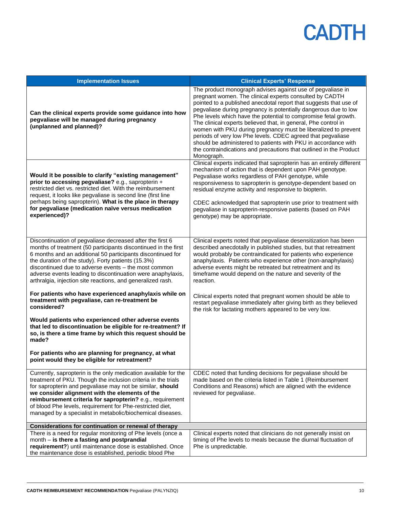| <b>Implementation Issues</b>                                                                                                                                                                                                                                                                                                                                                                                                            | <b>Clinical Experts' Response</b>                                                                                                                                                                                                                                                                                                                                                                                                                                                                                                                                                                                                                                                         |
|-----------------------------------------------------------------------------------------------------------------------------------------------------------------------------------------------------------------------------------------------------------------------------------------------------------------------------------------------------------------------------------------------------------------------------------------|-------------------------------------------------------------------------------------------------------------------------------------------------------------------------------------------------------------------------------------------------------------------------------------------------------------------------------------------------------------------------------------------------------------------------------------------------------------------------------------------------------------------------------------------------------------------------------------------------------------------------------------------------------------------------------------------|
| Can the clinical experts provide some guidance into how<br>pegvaliase will be managed during pregnancy<br>(unplanned and planned)?                                                                                                                                                                                                                                                                                                      | The product monograph advises against use of pegvaliase in<br>pregnant women. The clinical experts consulted by CADTH<br>pointed to a published anecdotal report that suggests that use of<br>pegvaliase during pregnancy is potentially dangerous due to low<br>Phe levels which have the potential to compromise fetal growth.<br>The clinical experts believed that, in general, Phe control in<br>women with PKU during pregnancy must be liberalized to prevent<br>periods of very low Phe levels. CDEC agreed that pegvaliase<br>should be administered to patients with PKU in accordance with<br>the contraindications and precautions that outlined in the Product<br>Monograph. |
| Would it be possible to clarify "existing management"<br>prior to accessing pegvaliase? e.g., sapropterin +<br>restricted diet vs. restricted diet. With the reimbursement<br>request, it looks like pegvaliase is second line (first line<br>perhaps being sapropterin). What is the place in therapy<br>for pegvaliase (medication naïve versus medication<br>experienced)?                                                           | Clinical experts indicated that sapropterin has an entirely different<br>mechanism of action that is dependent upon PAH genotype.<br>Pegvaliase works regardless of PAH genotype, while<br>responsiveness to sapropterin is genotype-dependent based on<br>residual enzyme activity and responsive to biopterin.<br>CDEC acknowledged that sapropterin use prior to treatment with<br>pegvaliase in sapropterin-responsive patients (based on PAH<br>genotype) may be appropriate.                                                                                                                                                                                                        |
| Discontinuation of pegvaliase decreased after the first 6<br>months of treatment (50 participants discontinued in the first<br>6 months and an additional 50 participants discontinued for<br>the duration of the study). Forty patients (15.3%)<br>discontinued due to adverse events - the most common<br>adverse events leading to discontinuation were anaphylaxis,<br>arthralgia, injection site reactions, and generalized rash.  | Clinical experts noted that pegvaliase desensitization has been<br>described anecdotally in published studies, but that retreatment<br>would probably be contraindicated for patients who experience<br>anaphylaxis. Patients who experience other (non-anaphylaxis)<br>adverse events might be retreated but retreatment and its<br>timeframe would depend on the nature and severity of the<br>reaction.                                                                                                                                                                                                                                                                                |
| For patients who have experienced anaphylaxis while on<br>treatment with pegvaliase, can re-treatment be<br>considered?                                                                                                                                                                                                                                                                                                                 | Clinical experts noted that pregnant women should be able to<br>restart pegvaliase immediately after giving birth as they believed<br>the risk for lactating mothers appeared to be very low.                                                                                                                                                                                                                                                                                                                                                                                                                                                                                             |
| Would patients who experienced other adverse events<br>that led to discontinuation be eligible for re-treatment? If<br>so, is there a time frame by which this request should be<br>made?                                                                                                                                                                                                                                               |                                                                                                                                                                                                                                                                                                                                                                                                                                                                                                                                                                                                                                                                                           |
| For patients who are planning for pregnancy, at what<br>point would they be eligible for retreatment?                                                                                                                                                                                                                                                                                                                                   |                                                                                                                                                                                                                                                                                                                                                                                                                                                                                                                                                                                                                                                                                           |
| Currently, sapropterin is the only medication available for the<br>treatment of PKU. Though the inclusion criteria in the trials<br>for sapropterin and pegvaliase may not be similar, should<br>we consider alignment with the elements of the<br>reimbursement criteria for sapropterin? e.g., requirement<br>of blood Phe levels, requirement for Phe-restricted diet,<br>managed by a specialist in metabolic/biochemical diseases. | CDEC noted that funding decisions for pegvaliase should be<br>made based on the criteria listed in Table 1 (Reimbursement<br>Conditions and Reasons) which are aligned with the evidence<br>reviewed for pegvaliase.                                                                                                                                                                                                                                                                                                                                                                                                                                                                      |
| Considerations for continuation or renewal of therapy                                                                                                                                                                                                                                                                                                                                                                                   |                                                                                                                                                                                                                                                                                                                                                                                                                                                                                                                                                                                                                                                                                           |
| There is a need for regular monitoring of Phe levels (once a<br>month - is there a fasting and postprandial<br>requirement?) until maintenance dose is established. Once<br>the maintenance dose is established, periodic blood Phe                                                                                                                                                                                                     | Clinical experts noted that clinicians do not generally insist on<br>timing of Phe levels to meals because the diurnal fluctuation of<br>Phe is unpredictable.                                                                                                                                                                                                                                                                                                                                                                                                                                                                                                                            |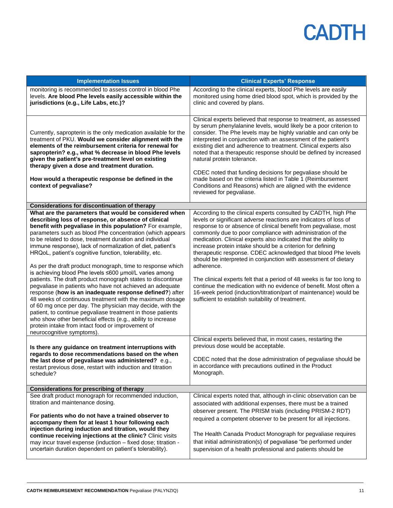| <b>Implementation Issues</b>                                                                                                                                                                                                                                                                                                                                                                                                                                                                                                                                                                                                                                                                                                                                                                                                                                                                                                                                                                                                                                                                                                                                                                                                                                                                                                        | <b>Clinical Experts' Response</b>                                                                                                                                                                                                                                                                                                                                                                                                                                                                                                                                                                                                                                                                                                                                                                                                                                                                                                                                                                                                                                                   |
|-------------------------------------------------------------------------------------------------------------------------------------------------------------------------------------------------------------------------------------------------------------------------------------------------------------------------------------------------------------------------------------------------------------------------------------------------------------------------------------------------------------------------------------------------------------------------------------------------------------------------------------------------------------------------------------------------------------------------------------------------------------------------------------------------------------------------------------------------------------------------------------------------------------------------------------------------------------------------------------------------------------------------------------------------------------------------------------------------------------------------------------------------------------------------------------------------------------------------------------------------------------------------------------------------------------------------------------|-------------------------------------------------------------------------------------------------------------------------------------------------------------------------------------------------------------------------------------------------------------------------------------------------------------------------------------------------------------------------------------------------------------------------------------------------------------------------------------------------------------------------------------------------------------------------------------------------------------------------------------------------------------------------------------------------------------------------------------------------------------------------------------------------------------------------------------------------------------------------------------------------------------------------------------------------------------------------------------------------------------------------------------------------------------------------------------|
| monitoring is recommended to assess control in blood Phe<br>levels. Are blood Phe levels easily accessible within the<br>jurisdictions (e.g., Life Labs, etc.)?                                                                                                                                                                                                                                                                                                                                                                                                                                                                                                                                                                                                                                                                                                                                                                                                                                                                                                                                                                                                                                                                                                                                                                     | According to the clinical experts, blood Phe levels are easily<br>monitored using home dried blood spot, which is provided by the<br>clinic and covered by plans.                                                                                                                                                                                                                                                                                                                                                                                                                                                                                                                                                                                                                                                                                                                                                                                                                                                                                                                   |
| Currently, sapropterin is the only medication available for the<br>treatment of PKU. Would we consider alignment with the<br>elements of the reimbursement criteria for renewal for<br>sapropterin? e.g., what % decrease in blood Phe levels<br>given the patient's pre-treatment level on existing<br>therapy given a dose and treatment duration.<br>How would a therapeutic response be defined in the<br>context of pegvaliase?                                                                                                                                                                                                                                                                                                                                                                                                                                                                                                                                                                                                                                                                                                                                                                                                                                                                                                | Clinical experts believed that response to treatment, as assessed<br>by serum phenylalanine levels, would likely be a poor criterion to<br>consider. The Phe levels may be highly variable and can only be<br>interpreted in conjunction with an assessment of the patient's<br>existing diet and adherence to treatment. Clinical experts also<br>noted that a therapeutic response should be defined by increased<br>natural protein tolerance.<br>CDEC noted that funding decisions for pegvaliase should be<br>made based on the criteria listed in Table 1 (Reimbursement<br>Conditions and Reasons) which are aligned with the evidence<br>reviewed for pegvaliase.                                                                                                                                                                                                                                                                                                                                                                                                           |
| <b>Considerations for discontinuation of therapy</b>                                                                                                                                                                                                                                                                                                                                                                                                                                                                                                                                                                                                                                                                                                                                                                                                                                                                                                                                                                                                                                                                                                                                                                                                                                                                                |                                                                                                                                                                                                                                                                                                                                                                                                                                                                                                                                                                                                                                                                                                                                                                                                                                                                                                                                                                                                                                                                                     |
| What are the parameters that would be considered when<br>describing loss of response, or absence of clinical<br>benefit with pegvaliase in this population? For example,<br>parameters such as blood Phe concentration (which appears<br>to be related to dose, treatment duration and individual<br>immune response), lack of normalization of diet, patient's<br>HRQoL, patient's cognitive function, tolerability, etc.<br>As per the draft product monograph, time to response which<br>is achieving blood Phe levels ≤600 µmol/L varies among<br>patients. The draft product monograph states to discontinue<br>pegvaliase in patients who have not achieved an adequate<br>response (how is an inadequate response defined?) after<br>48 weeks of continuous treatment with the maximum dosage<br>of 60 mg once per day. The physician may decide, with the<br>patient, to continue pegvaliase treatment in those patients<br>who show other beneficial effects (e.g., ability to increase<br>protein intake from intact food or improvement of<br>neurocognitive symptoms).<br>Is there any guidance on treatment interruptions with<br>regards to dose recommendations based on the when<br>the last dose of pegvaliase was administered? e.g.,<br>restart previous dose, restart with induction and titration<br>schedule? | According to the clinical experts consulted by CADTH, high Phe<br>levels or significant adverse reactions are indicators of loss of<br>response to or absence of clinical benefit from pegvaliase, most<br>commonly due to poor compliance with administration of the<br>medication. Clinical experts also indicated that the ability to<br>increase protein intake should be a criterion for defining<br>therapeutic response. CDEC acknowledged that blood Phe levels<br>should be interpreted in conjunction with assessment of dietary<br>adherence.<br>The clinical experts felt that a period of 48 weeks is far too long to<br>continue the medication with no evidence of benefit. Most often a<br>16-week period (induction/titration/part of maintenance) would be<br>sufficient to establish suitability of treatment.<br>Clinical experts believed that, in most cases, restarting the<br>previous dose would be acceptable.<br>CDEC noted that the dose administration of pegvaliase should be<br>in accordance with precautions outlined in the Product<br>Monograph. |
| <b>Considerations for prescribing of therapy</b>                                                                                                                                                                                                                                                                                                                                                                                                                                                                                                                                                                                                                                                                                                                                                                                                                                                                                                                                                                                                                                                                                                                                                                                                                                                                                    |                                                                                                                                                                                                                                                                                                                                                                                                                                                                                                                                                                                                                                                                                                                                                                                                                                                                                                                                                                                                                                                                                     |
| See draft product monograph for recommended induction,<br>titration and maintenance dosing.<br>For patients who do not have a trained observer to<br>accompany them for at least 1 hour following each<br>injection during induction and titration, would they<br>continue receiving injections at the clinic? Clinic visits<br>may incur travel expense (induction - fixed dose; titration -<br>uncertain duration dependent on patient's tolerability).                                                                                                                                                                                                                                                                                                                                                                                                                                                                                                                                                                                                                                                                                                                                                                                                                                                                           | Clinical experts noted that, although in-clinic observation can be<br>associated with additional expenses, there must be a trained<br>observer present. The PRISM trials (including PRISM-2 RDT)<br>required a competent observer to be present for all injections.<br>The Health Canada Product Monograph for pegvaliase requires<br>that initial administration(s) of pegvaliase "be performed under<br>supervision of a health professional and patients should be                                                                                                                                                                                                                                                                                                                                                                                                                                                                                                                                                                                                               |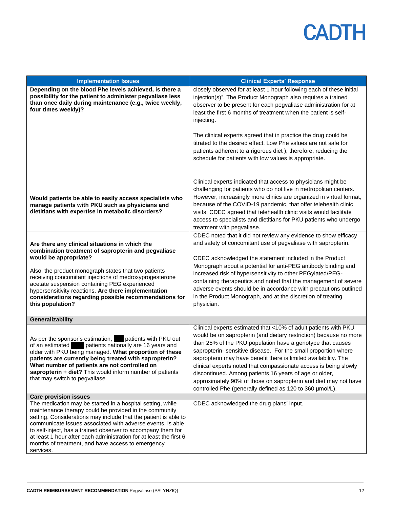| <b>Implementation Issues</b>                                                                                                                                                                                                                                                                                                                                                                                                                                  | <b>Clinical Experts' Response</b>                                                                                                                                                                                                                                                                                                                                                                                                                                                                                                                                                                    |
|---------------------------------------------------------------------------------------------------------------------------------------------------------------------------------------------------------------------------------------------------------------------------------------------------------------------------------------------------------------------------------------------------------------------------------------------------------------|------------------------------------------------------------------------------------------------------------------------------------------------------------------------------------------------------------------------------------------------------------------------------------------------------------------------------------------------------------------------------------------------------------------------------------------------------------------------------------------------------------------------------------------------------------------------------------------------------|
| Depending on the blood Phe levels achieved, is there a<br>possibility for the patient to administer pegvaliase less<br>than once daily during maintenance (e.g., twice weekly,<br>four times weekly)?                                                                                                                                                                                                                                                         | closely observed for at least 1 hour following each of these initial<br>injection(s)". The Product Monograph also requires a trained<br>observer to be present for each pegvaliase administration for at<br>least the first 6 months of treatment when the patient is self-<br>injecting.<br>The clinical experts agreed that in practice the drug could be<br>titrated to the desired effect. Low Phe values are not safe for<br>patients adherent to a rigorous diet); therefore, reducing the<br>schedule for patients with low values is appropriate.                                            |
| Would patients be able to easily access specialists who<br>manage patients with PKU such as physicians and<br>dietitians with expertise in metabolic disorders?                                                                                                                                                                                                                                                                                               | Clinical experts indicated that access to physicians might be<br>challenging for patients who do not live in metropolitan centers.<br>However, increasingly more clinics are organized in virtual format,<br>because of the COVID-19 pandemic, that offer telehealth clinic<br>visits. CDEC agreed that telehealth clinic visits would facilitate<br>access to specialists and dietitians for PKU patients who undergo<br>treatment with pegvaliase.                                                                                                                                                 |
| Are there any clinical situations in which the<br>combination treatment of sapropterin and pegvaliase<br>would be appropriate?<br>Also, the product monograph states that two patients<br>receiving concomitant injections of medroxyprogesterone<br>acetate suspension containing PEG experienced<br>hypersensitivity reactions. Are there implementation<br>considerations regarding possible recommendations for<br>this population?                       | CDEC noted that it did not review any evidence to show efficacy<br>and safety of concomitant use of pegvaliase with sapropterin.<br>CDEC acknowledged the statement included in the Product<br>Monograph about a potential for anti-PEG antibody binding and<br>increased risk of hypersensitivity to other PEGylated/PEG-<br>containing therapeutics and noted that the management of severe<br>adverse events should be in accordance with precautions outlined<br>in the Product Monograph, and at the discretion of treating<br>physician.                                                       |
| Generalizability                                                                                                                                                                                                                                                                                                                                                                                                                                              |                                                                                                                                                                                                                                                                                                                                                                                                                                                                                                                                                                                                      |
| As per the sponsor's estimation,<br>patients with PKU out<br>of an estimated<br>patients nationally are 16 years and<br>older with PKU being managed. What proportion of these<br>patients are currently being treated with sapropterin?<br>What number of patients are not controlled on<br>sapropterin + diet? This would inform number of patients<br>that may switch to pegvaliase.                                                                       | Clinical experts estimated that <10% of adult patients with PKU<br>would be on sapropterin (and dietary restriction) because no more<br>than 25% of the PKU population have a genotype that causes<br>sapropterin- sensitive disease. For the small proportion where<br>sapropterin may have benefit there is limited availability. The<br>clinical experts noted that compassionate access is being slowly<br>discontinued. Among patients 16 years of age or older,<br>approximately 90% of those on sapropterin and diet may not have<br>controlled Phe (generally defined as 120 to 360 µmol/L). |
| <b>Care provision issues</b>                                                                                                                                                                                                                                                                                                                                                                                                                                  |                                                                                                                                                                                                                                                                                                                                                                                                                                                                                                                                                                                                      |
| The medication may be started in a hospital setting, while<br>maintenance therapy could be provided in the community<br>setting. Considerations may include that the patient is able to<br>communicate issues associated with adverse events, is able<br>to self-inject, has a trained observer to accompany them for<br>at least 1 hour after each administration for at least the first 6<br>months of treatment, and have access to emergency<br>services. | CDEC acknowledged the drug plans' input.                                                                                                                                                                                                                                                                                                                                                                                                                                                                                                                                                             |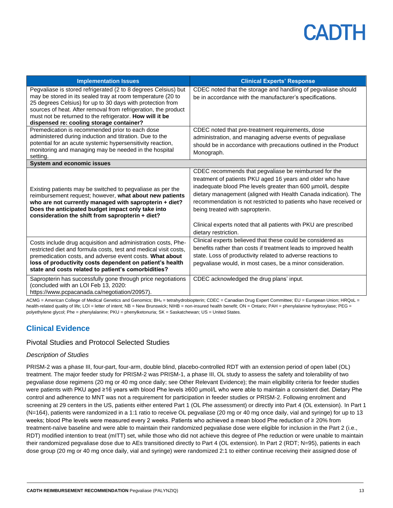| <b>Implementation Issues</b>                                                                                                                                                                                                                                                                                                                                          | <b>Clinical Experts' Response</b>                                                                                                                                                                                                                                                                                                                                                                                                                         |
|-----------------------------------------------------------------------------------------------------------------------------------------------------------------------------------------------------------------------------------------------------------------------------------------------------------------------------------------------------------------------|-----------------------------------------------------------------------------------------------------------------------------------------------------------------------------------------------------------------------------------------------------------------------------------------------------------------------------------------------------------------------------------------------------------------------------------------------------------|
| Pegvaliase is stored refrigerated (2 to 8 degrees Celsius) but<br>may be stored in its sealed tray at room temperature (20 to<br>25 degrees Celsius) for up to 30 days with protection from<br>sources of heat. After removal from refrigeration, the product<br>must not be returned to the refrigerator. How will it be<br>dispensed re: cooling storage container? | CDEC noted that the storage and handling of pegvaliase should<br>be in accordance with the manufacturer's specifications.                                                                                                                                                                                                                                                                                                                                 |
| Premedication is recommended prior to each dose<br>administered during induction and titration. Due to the<br>potential for an acute systemic hypersensitivity reaction,<br>monitoring and managing may be needed in the hospital<br>setting.                                                                                                                         | CDEC noted that pre-treatment requirements, dose<br>administration, and managing adverse events of pegvaliase<br>should be in accordance with precautions outlined in the Product<br>Monograph.                                                                                                                                                                                                                                                           |
| <b>System and economic issues</b>                                                                                                                                                                                                                                                                                                                                     |                                                                                                                                                                                                                                                                                                                                                                                                                                                           |
| Existing patients may be switched to pegvaliase as per the<br>reimbursement request; however, what about new patients<br>who are not currently managed with sapropterin + diet?<br>Does the anticipated budget impact only take into<br>consideration the shift from sapropterin + diet?                                                                              | CDEC recommends that pegvaliase be reimbursed for the<br>treatment of patients PKU aged 16 years and older who have<br>inadequate blood Phe levels greater than 600 µmol/L despite<br>dietary management (aligned with Health Canada indication). The<br>recommendation is not restricted to patients who have received or<br>being treated with sapropterin.<br>Clinical experts noted that all patients with PKU are prescribed<br>dietary restriction. |
| Costs include drug acquisition and administration costs, Phe-<br>restricted diet and formula costs, test and medical visit costs,<br>premedication costs, and adverse event costs. What about<br>loss of productivity costs dependent on patient's health<br>state and costs related to patient's comorbidities?                                                      | Clinical experts believed that these could be considered as<br>benefits rather than costs if treatment leads to improved health<br>state. Loss of productivity related to adverse reactions to<br>pegvaliase would, in most cases, be a minor consideration.                                                                                                                                                                                              |
| Sapropterin has successfully gone through price negotiations<br>(concluded with an LOI Feb 13, 2020:<br>https://www.pcpacanada.ca/negotiation/20957)                                                                                                                                                                                                                  | CDEC acknowledged the drug plans' input.                                                                                                                                                                                                                                                                                                                                                                                                                  |

ACMG = American College of Medical Genetics and Genomics: BH<sub>4</sub> = tetrahydrobiopterin; CDEC = Canadian Drug Expert Committee; EU = European Union; HRQoL = health-related quality of life; LOI = letter of intent; NB = New Brunswick; NIHB = non-insured health benefit; ON = Ontario; PAH = phenylalanine hydroxylase; PEG = polyethylene glycol; Phe = phenylalanine; PKU = phenylketonuria; SK = Saskatchewan; US = United States.

## **Clinical Evidence**

### Pivotal Studies and Protocol Selected Studies

### *Description of Studies*

PRISM-2 was a phase III, four-part, four-arm, double blind, placebo-controlled RDT with an extension period of open label (OL) treatment. The major feeder study for PRISM-2 was PRISM-1, a phase III, OL study to assess the safety and tolerability of two pegvaliase dose regimens (20 mg or 40 mg once daily; see Other Relevant Evidence); the main eligibility criteria for feeder studies were patients with PKU aged ≥16 years with blood Phe levels ≥600 µmol/L who were able to maintain a consistent diet. Dietary Phe control and adherence to MNT was not a requirement for participation in feeder studies or PRISM-2. Following enrolment and screening at 29 centers in the US, patients either entered Part 1 (OL Phe assessment) or directly into Part 4 (OL extension). In Part 1 (N=164), patients were randomized in a 1:1 ratio to receive OL pegvaliase (20 mg or 40 mg once daily, vial and syringe) for up to 13 weeks; blood Phe levels were measured every 2 weeks. Patients who achieved a mean blood Phe reduction of ≥ 20% from treatment-naïve baseline and were able to maintain their randomized pegvaliase dose were eligible for inclusion in the Part 2 (i.e., RDT) modified intention to treat (mITT) set, while those who did not achieve this degree of Phe reduction or were unable to maintain their randomized pegvaliase dose due to AEs transitioned directly to Part 4 (OL extension). In Part 2 (RDT; N=95), patients in each dose group (20 mg or 40 mg once daily, vial and syringe) were randomized 2:1 to either continue receiving their assigned dose of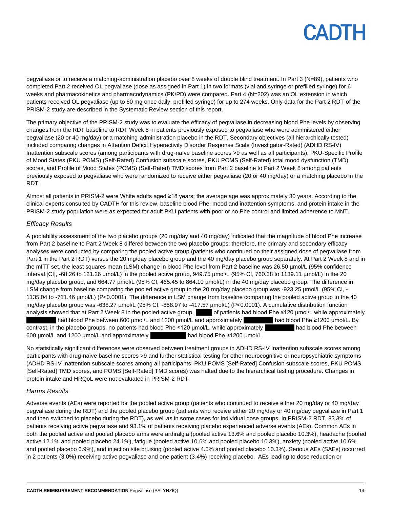pegvaliase or to receive a matching-administration placebo over 8 weeks of double blind treatment. In Part 3 (N=89), patients who completed Part 2 received OL pegvaliase (dose as assigned in Part 1) in two formats (vial and syringe or prefilled syringe) for 6 weeks and pharmacokinetics and pharmacodynamics (PK/PD) were compared. Part 4 (N=202) was an OL extension in which patients received OL pegvaliase (up to 60 mg once daily, prefilled syringe) for up to 274 weeks. Only data for the Part 2 RDT of the PRISM-2 study are described in the Systematic Review section of this report.

The primary objective of the PRISM-2 study was to evaluate the efficacy of pegvaliase in decreasing blood Phe levels by observing changes from the RDT baseline to RDT Week 8 in patients previously exposed to pegvaliase who were administered either pegvaliase (20 or 40 mg/day) or a matching-administration placebo in the RDT. Secondary objectives (all hierarchically tested) included comparing changes in Attention Deficit Hyperactivity Disorder Response Scale (Investigator-Rated) (ADHD RS-IV) Inattention subscale scores (among participants with drug-naïve baseline scores >9 as well as all participants), PKU-Specific Profile of Mood States (PKU POMS) (Self-Rated) Confusion subscale scores, PKU POMS (Self-Rated) total mood dysfunction (TMD) scores, and Profile of Mood States (POMS) (Self-Rated) TMD scores from Part 2 baseline to Part 2 Week 8 among patients previously exposed to pegvaliase who were randomized to receive either pegvaliase (20 or 40 mg/day) or a matching placebo in the RDT.

Almost all patients in PRISM-2 were White adults aged ≥18 years; the average age was approximately 30 years. According to the clinical experts consulted by CADTH for this review, baseline blood Phe, mood and inattention symptoms, and protein intake in the PRISM-2 study population were as expected for adult PKU patients with poor or no Phe control and limited adherence to MNT.

### *Efficacy Results*

A poolability assessment of the two placebo groups (20 mg/day and 40 mg/day) indicated that the magnitude of blood Phe increase from Part 2 baseline to Part 2 Week 8 differed between the two placebo groups; therefore, the primary and secondary efficacy analyses were conducted by comparing the pooled active group (patients who continued on their assigned dose of pegvaliase from Part 1 in the Part 2 RDT) versus the 20 mg/day placebo group and the 40 mg/day placebo group separately. At Part 2 Week 8 and in the mITT set, the least squares mean (LSM) change in blood Phe level from Part 2 baseline was 26.50 µmol/L (95% confidence interval [CI], -68.26 to 121.26 µmol/L) in the pooled active group, 949.75 µmol/L (95% CI, 760.38 to 1139.11 µmol/L) in the 20 mg/day placebo group, and 664.77 µmol/L (95% CI, 465.45 to 864.10 µmol/L) in the 40 mg/day placebo group. The difference in LSM change from baseline comparing the pooled active group to the 20 mg/day placebo group was -923.25 µmol/L (95% CI, -1135.04 to -711.46 µmol/L) (P<0.0001). The difference in LSM change from baseline comparing the pooled active group to the 40 mg/day placebo group was -638.27 µmol/L (95% CI, -858.97 to -417.57 µmol/L) (P<0.0001). A cumulative distribution function analysis showed that at Part 2 Week 8 in the pooled active group, of patients had blood Phe ≤120 µmol/L while approximately **had blood Phe between 600 µmol/L and 1200 µmol/L and approximately onlarge and blood Phe ≥1200 µmol/L. By** contrast, in the placebo groups, no patients had blood Phe ≤120 µmol/L, while approximately had blood Phe between 600 µmol/L and 1200 µmol/L and approximately the and blood Phe ≥1200 µmol/L.

No statistically significant differences were observed between treatment groups in ADHD RS-IV Inattention subscale scores among participants with drug-naïve baseline scores >9 and further statistical testing for other neurocognitive or neuropsychiatric symptoms (ADHD RS-IV Inattention subscale scores among all participants, PKU POMS [Self-Rated] Confusion subscale scores, PKU POMS [Self-Rated] TMD scores, and POMS [Self-Rated] TMD scores) was halted due to the hierarchical testing procedure. Changes in protein intake and HRQoL were not evaluated in PRISM-2 RDT.

### *Harms Results*

Adverse events (AEs) were reported for the pooled active group (patients who continued to receive either 20 mg/day or 40 mg/day pegvaliase during the RDT) and the pooled placebo group (patients who receive either 20 mg/day or 40 mg/day pegvaliase in Part 1 and then switched to placebo during the RDT), as well as in some cases for individual dose groups. In PRISM-2 RDT, 83.3% of patients receiving active pegvaliase and 93.1% of patients receiving placebo experienced adverse events (AEs). Common AEs in both the pooled active and pooled placebo arms were arthralgia (pooled active 13.6% and pooled placebo 10.3%), headache (pooled active 12.1% and pooled placebo 24.1%), fatigue (pooled active 10.6% and pooled placebo 10.3%), anxiety (pooled active 10.6% and pooled placebo 6.9%), and injection site bruising (pooled active 4.5% and pooled placebo 10.3%). Serious AEs (SAEs) occurred in 2 patients (3.0%) receiving active pegvaliase and one patient (3.4%) receiving placebo. AEs leading to dose reduction or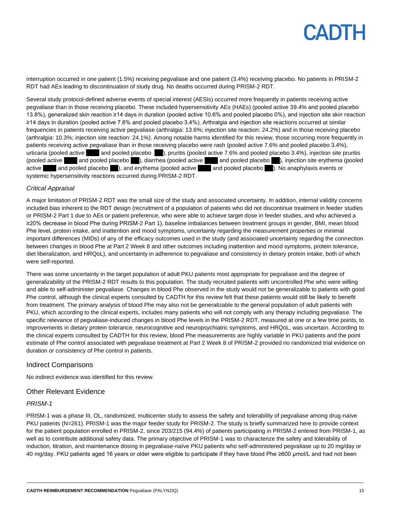interruption occurred in one patient (1.5%) receiving pegvaliase and one patient (3.4%) receiving placebo. No patients in PRISM-2 RDT had AEs leading to discontinuation of study drug. No deaths occurred during PRISM-2 RDT.

Several study protocol-defined adverse events of special interest (AESIs) occurred more frequently in patients receiving active pegvaliase than in those receiving placebo. These included hypersensitivity AEs (HAEs) (pooled active 39.4% and pooled placebo 13.8%), generalized skin reaction ≥14 days in duration (pooled active 10.6% and pooled placebo 0%), and injection site skin reaction ≥14 days in duration (pooled active 7.6% and pooled placebo 3.4%). Arthralgia and injection site reactions occurred at similar frequencies in patients receiving active pegvaliase (arthralgia: 13.6%; injection site reaction: 24.2%) and in those receiving placebo (arthralgia: 10.3%; injection site reaction: 24.1%). Among notable harms identified for this review, those occurring more frequently in patients receiving active pegvaliase than in those receiving placebo were rash (pooled active 7.6% and pooled placebo 3.4%), urticaria (pooled active and pooled placebo ), pruritis (pooled active 7.6% and pooled placebo 3.4%), injection site pruritis (pooled active 3.0% and pooled placebo 0.1%), diarrhea (pooled active 6.1% and pooled placebo 0.1%, injection site erythema (pooled active and pooled placebo b, and erythema (pooled active and pooled placebo ). No anaphylaxis events or systemic hypersensitivity reactions occurred during PRISM-2 RDT.

#### *Critical Appraisal*

A major limitation of PRISM-2 RDT was the small size of the study and associated uncertainty. In addition, internal validity concerns included bias inherent to the RDT design (recruitment of a population of patients who did not discontinue treatment in feeder studies or PRISM-2 Part 1 due to AEs or patient preference, who were able to achieve target dose in feeder studies, and who achieved a ≥20% decrease in blood Phe during PRISM-2 Part 1), baseline imbalances between treatment groups in gender, BMI, mean blood Phe level, protein intake, and inattention and mood symptoms, uncertainty regarding the measurement properties or minimal important differences (MIDs) of any of the efficacy outcomes used in the study (and associated uncertainty regarding the connection between changes in blood Phe at Part 2 Week 8 and other outcomes including inattention and mood symptoms, protein tolerance, diet liberalization, and HRQoL), and uncertainty in adherence to pegvaliase and consistency in dietary protein intake, both of which were self-reported.

There was some uncertainty in the target population of adult PKU patients most appropriate for pegvaliase and the degree of generalizability of the PRISM-2 RDT results to this population. The study recruited patients with uncontrolled Phe who were willing and able to self-administer pegvaliase. Changes in blood Phe observed in the study would not be generalizable to patients with good Phe control, although the clinical experts consulted by CADTH for this review felt that these patients would still be likely to benefit from treatment. The primary analysis of blood Phe may also not be generalizable to the general population of adult patients with PKU, which according to the clinical experts, includes many patients who will not comply with any therapy including pegvaliase. The specific relevance of pegvaliase-induced changes in blood Phe levels in the PRISM-2 RDT, measured at one or a few time points, to improvements in dietary protein tolerance, neurocognitive and neuropsychiatric symptoms, and HRQoL, was uncertain. According to the clinical experts consulted by CADTH for this review, blood Phe measurements are highly variable in PKU patients and the point estimate of Phe control associated with pegvaliase treatment at Part 2 Week 8 of PRISM-2 provided no randomized trial evidence on duration or consistency of Phe control in patients.

#### Indirect Comparisons

No indirect evidence was identified for this review.

### Other Relevant Evidence

#### *PRISM-1*

PRISM-1 was a phase III, OL, randomized, multicenter study to assess the safety and tolerability of pegvaliase among drug-naïve PKU patients (N=261). PRISM-1 was the major feeder study for PRISM-2. The study is briefly summarized here to provide context for the patient population enrolled in PRISM-2, since 203/215 (94.4%) of patients participating in PRISM-2 entered from PRISM-1, as well as to contribute additional safety data. The primary objective of PRISM-1 was to characterize the safety and tolerability of induction, titration, and maintenance dosing in pegvaliase-naïve PKU patients who self-administered pegvaliase up to 20 mg/day or 40 mg/day. PKU patients aged 16 years or older were eligible to participate if they have blood Phe ≥600 µmol/L and had not been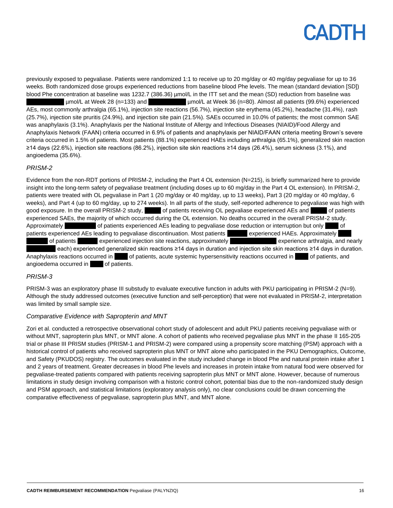previously exposed to pegvaliase. Patients were randomized 1:1 to receive up to 20 mg/day or 40 mg/day pegvaliase for up to 36 weeks. Both randomized dose groups experienced reductions from baseline blood Phe levels. The mean (standard deviation [SD]) blood Phe concentration at baseline was 1232.7 (386.36) µmol/L in the ITT set and the mean (SD) reduction from baseline was  $\mu$ mol/L at Week 28 (n=133) and  $\mu$ mol/L at Week 36 (n=80). Almost all patients (99.6%) experienced AEs, most commonly arthralgia (65.1%), injection site reactions (56.7%), injection site erythema (45.2%), headache (31.4%), rash (25.7%), injection site pruritis (24.9%), and injection site pain (21.5%). SAEs occurred in 10.0% of patients; the most common SAE was anaphylaxis (3.1%). Anaphylaxis per the National Institute of Allergy and Infectious Diseases (NIAID)/Food Allergy and Anaphylaxis Network (FAAN) criteria occurred in 6.9% of patients and anaphylaxis per NIAID/FAAN criteria meeting Brown's severe criteria occurred in 1.5% of patients. Most patients (88.1%) experienced HAEs including arthralgia (65.1%), generalized skin reaction ≥14 days (22.6%), injection site reactions (86.2%), injection site skin reactions ≥14 days (26.4%), serum sickness (3.1%), and angioedema (35.6%).

### *PRISM-2*

Evidence from the non-RDT portions of PRISM-2, including the Part 4 OL extension (N=215), is briefly summarized here to provide insight into the long-term safety of pegvaliase treatment (including doses up to 60 mg/day in the Part 4 OL extension). In PRISM-2, patients were treated with OL pegvaliase in Part 1 (20 mg/day or 40 mg/day, up to 13 weeks), Part 3 (20 mg/day or 40 mg/day, 6 weeks), and Part 4 (up to 60 mg/day, up to 274 weeks). In all parts of the study, self-reported adherence to pegvaliase was high with good exposure. In the overall PRISM-2 study, of patients receiving OL pegvaliase experienced AEs and 18.6 of patients experienced SAEs, the majority of which occurred during the OL extension. No deaths occurred in the overall PRISM-2 study. Approximately **half of patients experienced AEs leading to pegvaliase dose reduction or interruption but only 5.6% of** patients experienced AEs leading to pegvaliase discontinuation. Most patients experienced HAEs. Approximately of patients experienced injection site reactions, approximately two theorems experience arthralgia, and nearly each) experienced generalized skin reactions ≥14 days in duration and injection site skin reactions ≥14 days in duration. Anaphylaxis reactions occurred in of patients, acute systemic hypersensitivity reactions occurred in of patients, and angioedema occurred in 2.3 of patients.

#### *PRISM-3*

PRISM-3 was an exploratory phase III substudy to evaluate executive function in adults with PKU participating in PRISM-2 (N=9). Although the study addressed outcomes (executive function and self-perception) that were not evaluated in PRISM-2, interpretation was limited by small sample size.

#### *Comparative Evidence with Sapropterin and MNT*

Zori et al. conducted a retrospective observational cohort study of adolescent and adult PKU patients receiving pegvaliase with or without MNT, sapropterin plus MNT, or MNT alone. A cohort of patients who received pegvaliase plus MNT in the phase II 165-205 trial or phase III PRISM studies (PRISM-1 and PRISM-2) were compared using a propensity score matching (PSM) approach with a historical control of patients who received sapropterin plus MNT or MNT alone who participated in the PKU Demographics, Outcome, and Safety (PKUDOS) registry. The outcomes evaluated in the study included change in blood Phe and natural protein intake after 1 and 2 years of treatment. Greater decreases in blood Phe levels and increases in protein intake from natural food were observed for pegvaliase-treated patients compared with patients receiving sapropterin plus MNT or MNT alone. However, because of numerous limitations in study design involving comparison with a historic control cohort, potential bias due to the non-randomized study design and PSM approach, and statistical limitations (exploratory analysis only), no clear conclusions could be drawn concerning the comparative effectiveness of pegvaliase, sapropterin plus MNT, and MNT alone.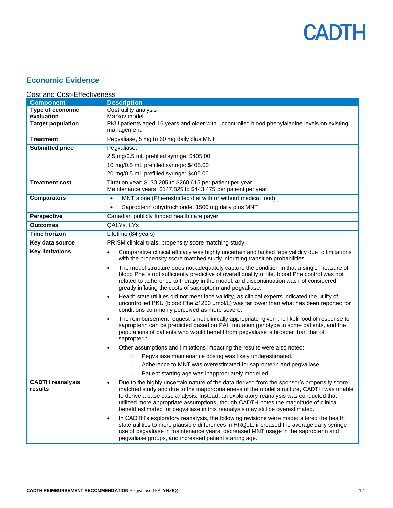

## **Economic Evidence**

## Cost and Cost-Effectiveness

| <b>Component</b>                   | <b>Description</b>                                                                                                                                                                                                                                                                                                                                                                                                                                                    |
|------------------------------------|-----------------------------------------------------------------------------------------------------------------------------------------------------------------------------------------------------------------------------------------------------------------------------------------------------------------------------------------------------------------------------------------------------------------------------------------------------------------------|
| Type of economic                   | Cost-utility analysis                                                                                                                                                                                                                                                                                                                                                                                                                                                 |
| evaluation                         | Markov model                                                                                                                                                                                                                                                                                                                                                                                                                                                          |
| <b>Target population</b>           | PKU patients aged 16 years and older with uncontrolled blood phenylalanine levels on existing<br>management.                                                                                                                                                                                                                                                                                                                                                          |
| <b>Treatment</b>                   | Pegvaliase, 5 mg to 60 mg daily plus MNT                                                                                                                                                                                                                                                                                                                                                                                                                              |
| <b>Submitted price</b>             | Pegvaliase:                                                                                                                                                                                                                                                                                                                                                                                                                                                           |
|                                    | 2.5 mg/0.5 mL prefilled syringe: \$405.00                                                                                                                                                                                                                                                                                                                                                                                                                             |
|                                    | 10 mg/0.5 mL prefilled syringe: \$405.00                                                                                                                                                                                                                                                                                                                                                                                                                              |
|                                    | 20 mg/0.5 mL prefilled syringe: \$405.00                                                                                                                                                                                                                                                                                                                                                                                                                              |
| <b>Treatment cost</b>              | Titration year: \$130,205 to \$260,615 per patient per year<br>Maintenance years: \$147,825 to \$443,475 per patient per year                                                                                                                                                                                                                                                                                                                                         |
| <b>Comparators</b>                 | MNT alone (Phe-restricted diet with or without medical food)<br>$\bullet$                                                                                                                                                                                                                                                                                                                                                                                             |
|                                    | Sapropterin dihydrochloride, 1500 mg daily plus MNT<br>$\bullet$                                                                                                                                                                                                                                                                                                                                                                                                      |
| <b>Perspective</b>                 | Canadian publicly funded health care payer                                                                                                                                                                                                                                                                                                                                                                                                                            |
| <b>Outcomes</b>                    | QALYs, LYs                                                                                                                                                                                                                                                                                                                                                                                                                                                            |
| <b>Time horizon</b>                | Lifetime (84 years)                                                                                                                                                                                                                                                                                                                                                                                                                                                   |
| Key data source                    | PRISM clinical trials, propensity score matching study                                                                                                                                                                                                                                                                                                                                                                                                                |
| <b>Key limitations</b>             | Comparative clinical efficacy was highly uncertain and lacked face validity due to limitations<br>$\bullet$<br>with the propensity score matched study informing transition probabilities.                                                                                                                                                                                                                                                                            |
|                                    | The model structure does not adequately capture the condition in that a single measure of<br>$\bullet$<br>blood Phe is not sufficiently predictive of overall quality of life, blood Phe control was not<br>related to adherence to therapy in the model, and discontinuation was not considered,<br>greatly inflating the costs of sapropterin and pegvaliase.                                                                                                       |
|                                    | Health state utilities did not meet face validity, as clinical experts indicated the utility of<br>$\bullet$<br>uncontrolled PKU (blood Phe ≥1200 µmol/L) was far lower than what has been reported for<br>conditions commonly perceived as more severe.                                                                                                                                                                                                              |
|                                    | The reimbursement request is not clinically appropriate, given the likelihood of response to<br>$\bullet$<br>sapropterin can be predicted based on PAH mutation genotype in some patients, and the<br>populations of patients who would benefit from pegvaliase is broader than that of<br>sapropterin.                                                                                                                                                               |
|                                    | Other assumptions and limitations impacting the results were also noted:<br>$\bullet$                                                                                                                                                                                                                                                                                                                                                                                 |
|                                    | Pegvaliase maintenance dosing was likely underestimated.<br>$\circ$                                                                                                                                                                                                                                                                                                                                                                                                   |
|                                    | Adherence to MNT was overestimated for sapropterin and pegvaliase.<br>$\circ$                                                                                                                                                                                                                                                                                                                                                                                         |
|                                    | Patient starting age was inappropriately modelled.<br>$\circ$                                                                                                                                                                                                                                                                                                                                                                                                         |
| <b>CADTH reanalysis</b><br>results | Due to the highly uncertain nature of the data derived from the sponsor's propensity score<br>$\bullet$<br>matched study and due to the inappropriateness of the model structure, CADTH was unable<br>to derive a base case analysis. Instead, an exploratory reanalysis was conducted that<br>utilized more appropriate assumptions, though CADTH notes the magnitude of clinical<br>benefit estimated for pegvaliase in this reanalysis may still be overestimated. |
|                                    | In CADTH's exploratory reanalysis, the following revisions were made: altered the health<br>$\bullet$<br>state utilities to more plausible differences in HRQoL, increased the average daily syringe<br>use of pegvaliase in maintenance years, decreased MNT usage in the sapropterin and<br>pegvaliase groups, and increased patient starting age.                                                                                                                  |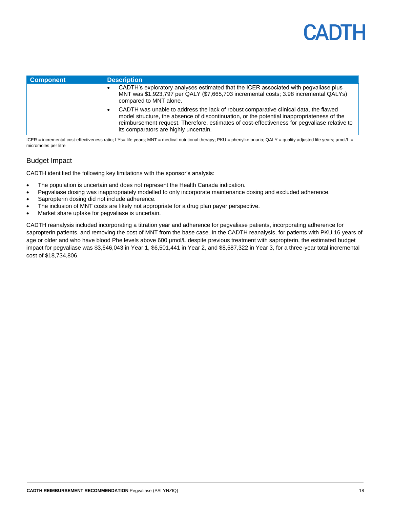| <b>Component</b> | <b>Description</b>                                                                                                                                                                                                                                                                                                               |
|------------------|----------------------------------------------------------------------------------------------------------------------------------------------------------------------------------------------------------------------------------------------------------------------------------------------------------------------------------|
|                  | CADTH's exploratory analyses estimated that the ICER associated with pegvaliase plus<br>MNT was \$1,923,797 per QALY (\$7,665,703 incremental costs; 3.98 incremental QALYs)<br>compared to MNT alone.                                                                                                                           |
|                  | CADTH was unable to address the lack of robust comparative clinical data, the flawed<br>٠<br>model structure, the absence of discontinuation, or the potential inappropriateness of the<br>reimbursement request. Therefore, estimates of cost-effectiveness for peqvaliase relative to<br>its comparators are highly uncertain. |

ICER = incremental cost-effectiveness ratio; LYs= life years; MNT = medical nutritional therapy; PKU = phenylketonuria; QALY = quality adjusted life years; µmol/L = micromoles per litre

## Budget Impact

CADTH identified the following key limitations with the sponsor's analysis:

- The population is uncertain and does not represent the Health Canada indication.
- Pegvaliase dosing was inappropriately modelled to only incorporate maintenance dosing and excluded adherence.
- Sapropterin dosing did not include adherence.
- The inclusion of MNT costs are likely not appropriate for a drug plan payer perspective.
- Market share uptake for pegvaliase is uncertain.

CADTH reanalysis included incorporating a titration year and adherence for pegvaliase patients, incorporating adherence for sapropterin patients, and removing the cost of MNT from the base case. In the CADTH reanalysis, for patients with PKU 16 years of age or older and who have blood Phe levels above 600 µmol/L despite previous treatment with sapropterin, the estimated budget impact for pegvaliase was \$3,646,043 in Year 1, \$6,501,441 in Year 2, and \$8,587,322 in Year 3, for a three-year total incremental cost of \$18,734,806.